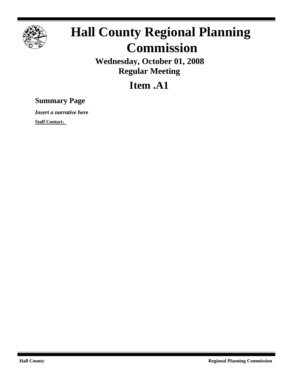

## **Hall County Regional Planning Commission**

**Wednesday, October 01, 2008 Regular Meeting**

## **Item .A1**

## **Summary Page**

*Insert a narrative here*

**Staff Contact:**